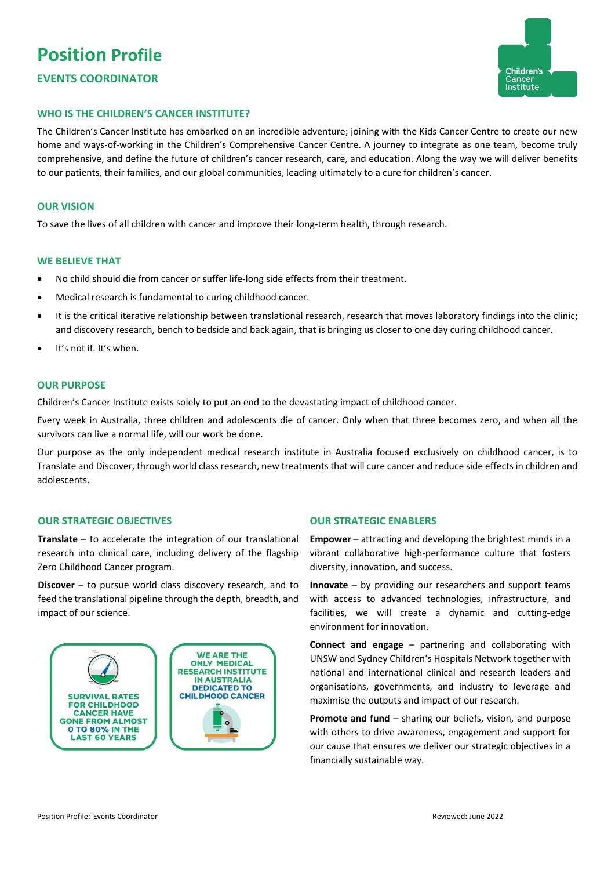# **Position Profile EVENTS COORDINATOR**



## **WHO IS THE CHILDREN'S CANCER INSTITUTE?**

The Children's Cancer Institute has embarked on an incredible adventure; joining with the Kids Cancer Centre to create our new home and ways-of-working in the Children's Comprehensive Cancer Centre. A journey to integrate as one team, become truly comprehensive, and define the future of children's cancer research, care, and education. Along the way we will deliver benefits to our patients, their families, and our global communities, leading ultimately to a cure for children's cancer.

#### **OUR VISION**

To save the lives of all children with cancer and improve their long-term health, through research.

#### **WE BELIEVE THAT**

- No child should die from cancer or suffer life-long side effects from their treatment.
- Medical research is fundamental to curing childhood cancer.
- It is the critical iterative relationship between translational research, research that moves laboratory findings into the clinic; and discovery research, bench to bedside and back again, that is bringing us closer to one day curing childhood cancer.
- It's not if. It's when.

#### **OUR PURPOSE**

Children's Cancer Institute exists solely to put an end to the devastating impact of childhood cancer.

Every week in Australia, three children and adolescents die of cancer. Only when that three becomes zero, and when all the survivors can live a normal life, will our work be done.

Our purpose as the only independent medical research institute in Australia focused exclusively on childhood cancer, is to Translate and Discover, through world class research, new treatments that will cure cancer and reduce side effects in children and adolescents.

## **OUR STRATEGIC OBJECTIVES**

**Translate** – to accelerate the integration of our translational research into clinical care, including delivery of the flagship Zero Childhood Cancer program.

**Discover** – to pursue world class discovery research, and to feed the translational pipeline through the depth, breadth, and impact of our science.



### **OUR STRATEGIC ENABLERS**

**Empower** – attracting and developing the brightest minds in a vibrant collaborative high-performance culture that fosters diversity, innovation, and success.

**Innovate** – by providing our researchers and support teams with access to advanced technologies, infrastructure, and facilities, we will create a dynamic and cutting-edge environment for innovation.

**Connect and engage** – partnering and collaborating with UNSW and Sydney Children's Hospitals Network together with national and international clinical and research leaders and organisations, governments, and industry to leverage and maximise the outputs and impact of our research.

**Promote and fund** – sharing our beliefs, vision, and purpose with others to drive awareness, engagement and support for our cause that ensures we deliver our strategic objectives in a financially sustainable way.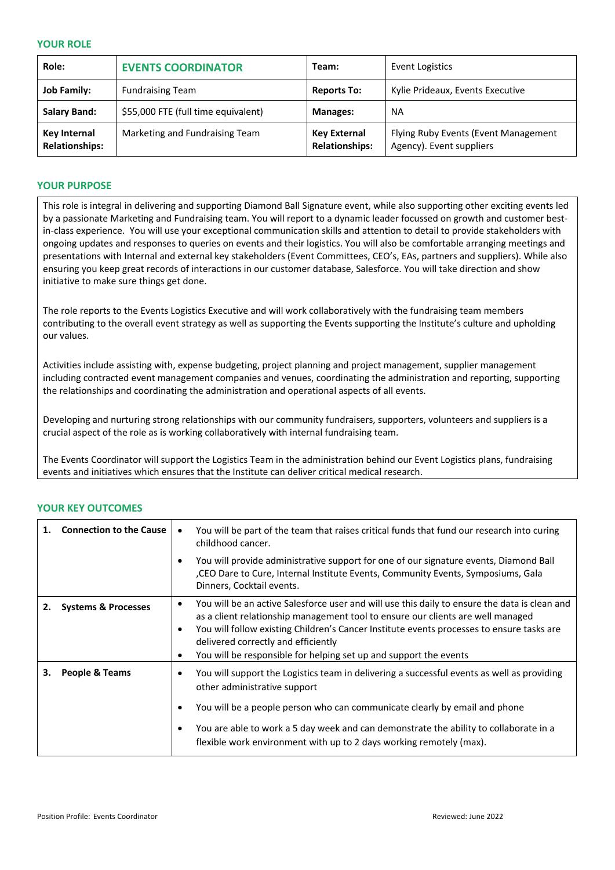### **YOUR ROLE**

| Role:                                        | <b>EVENTS COORDINATOR</b>           | Team:                                        | Event Logistics                                                  |
|----------------------------------------------|-------------------------------------|----------------------------------------------|------------------------------------------------------------------|
| <b>Job Family:</b>                           | <b>Fundraising Team</b>             | <b>Reports To:</b>                           | Kylie Prideaux, Events Executive                                 |
| <b>Salary Band:</b>                          | \$55,000 FTE (full time equivalent) | <b>Manages:</b>                              | <b>NA</b>                                                        |
| <b>Key Internal</b><br><b>Relationships:</b> | Marketing and Fundraising Team      | <b>Key External</b><br><b>Relationships:</b> | Flying Ruby Events (Event Management<br>Agency). Event suppliers |

# **YOUR PURPOSE**

This role is integral in delivering and supporting Diamond Ball Signature event, while also supporting other exciting events led by a passionate Marketing and Fundraising team. You will report to a dynamic leader focussed on growth and customer bestin-class experience. You will use your exceptional communication skills and attention to detail to provide stakeholders with ongoing updates and responses to queries on events and their logistics. You will also be comfortable arranging meetings and presentations with Internal and external key stakeholders (Event Committees, CEO's, EAs, partners and suppliers). While also ensuring you keep great records of interactions in our customer database, Salesforce. You will take direction and show initiative to make sure things get done.

The role reports to the Events Logistics Executive and will work collaboratively with the fundraising team members contributing to the overall event strategy as well as supporting the Events supporting the Institute's culture and upholding our values.

Activities include assisting with, expense budgeting, project planning and project management, supplier management including contracted event management companies and venues, coordinating the administration and reporting, supporting the relationships and coordinating the administration and operational aspects of all events.

Developing and nurturing strong relationships with our community fundraisers, supporters, volunteers and suppliers is a crucial aspect of the role as is working collaboratively with internal fundraising team.

The Events Coordinator will support the Logistics Team in the administration behind our Event Logistics plans, fundraising events and initiatives which ensures that the Institute can deliver critical medical research.

|    | <b>Connection to the Cause</b> | You will be part of the team that raises critical funds that fund our research into curing<br>childhood cancer.                                                                                                                                                                                                                                                                           |
|----|--------------------------------|-------------------------------------------------------------------------------------------------------------------------------------------------------------------------------------------------------------------------------------------------------------------------------------------------------------------------------------------------------------------------------------------|
|    |                                | You will provide administrative support for one of our signature events, Diamond Ball<br>CEO Dare to Cure, Internal Institute Events, Community Events, Symposiums, Gala<br>Dinners, Cocktail events.                                                                                                                                                                                     |
|    | <b>Systems &amp; Processes</b> | You will be an active Salesforce user and will use this daily to ensure the data is clean and<br>as a client relationship management tool to ensure our clients are well managed<br>You will follow existing Children's Cancer Institute events processes to ensure tasks are<br>delivered correctly and efficiently<br>You will be responsible for helping set up and support the events |
| 3. | People & Teams                 | You will support the Logistics team in delivering a successful events as well as providing<br>other administrative support                                                                                                                                                                                                                                                                |
|    |                                | You will be a people person who can communicate clearly by email and phone                                                                                                                                                                                                                                                                                                                |
|    |                                | You are able to work a 5 day week and can demonstrate the ability to collaborate in a<br>flexible work environment with up to 2 days working remotely (max).                                                                                                                                                                                                                              |

# **YOUR KEY OUTCOMES**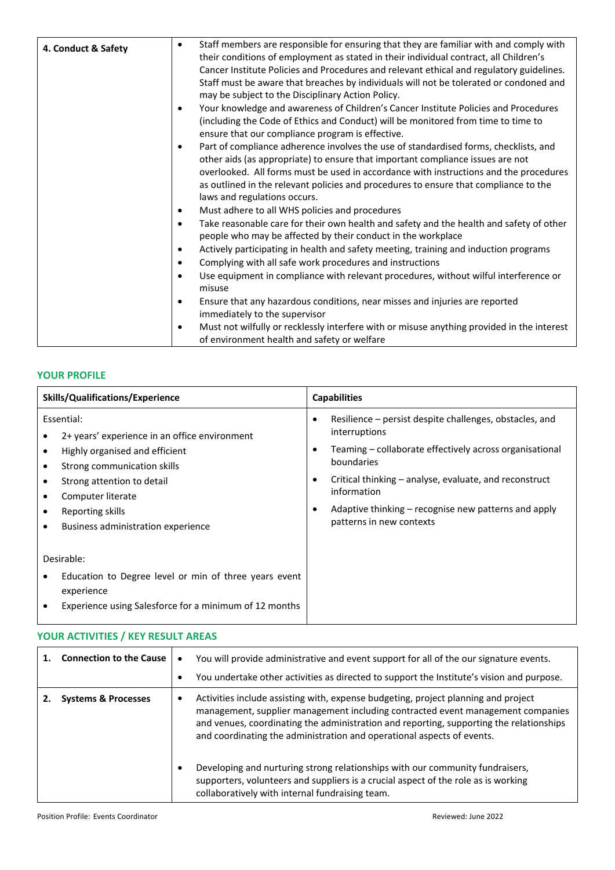| 4. Conduct & Safety | Staff members are responsible for ensuring that they are familiar with and comply with<br>$\bullet$<br>their conditions of employment as stated in their individual contract, all Children's<br>Cancer Institute Policies and Procedures and relevant ethical and regulatory guidelines.<br>Staff must be aware that breaches by individuals will not be tolerated or condoned and<br>may be subject to the Disciplinary Action Policy. |
|---------------------|-----------------------------------------------------------------------------------------------------------------------------------------------------------------------------------------------------------------------------------------------------------------------------------------------------------------------------------------------------------------------------------------------------------------------------------------|
|                     | Your knowledge and awareness of Children's Cancer Institute Policies and Procedures<br>٠<br>(including the Code of Ethics and Conduct) will be monitored from time to time to<br>ensure that our compliance program is effective.                                                                                                                                                                                                       |
|                     | Part of compliance adherence involves the use of standardised forms, checklists, and<br>$\bullet$<br>other aids (as appropriate) to ensure that important compliance issues are not<br>overlooked. All forms must be used in accordance with instructions and the procedures<br>as outlined in the relevant policies and procedures to ensure that compliance to the<br>laws and regulations occurs.                                    |
|                     | Must adhere to all WHS policies and procedures<br>$\bullet$                                                                                                                                                                                                                                                                                                                                                                             |
|                     | Take reasonable care for their own health and safety and the health and safety of other<br>$\bullet$<br>people who may be affected by their conduct in the workplace                                                                                                                                                                                                                                                                    |
|                     | Actively participating in health and safety meeting, training and induction programs<br>$\bullet$                                                                                                                                                                                                                                                                                                                                       |
|                     | Complying with all safe work procedures and instructions<br>$\bullet$                                                                                                                                                                                                                                                                                                                                                                   |
|                     | Use equipment in compliance with relevant procedures, without wilful interference or<br>$\bullet$<br>misuse                                                                                                                                                                                                                                                                                                                             |
|                     | Ensure that any hazardous conditions, near misses and injuries are reported<br>immediately to the supervisor                                                                                                                                                                                                                                                                                                                            |
|                     | Must not wilfully or recklessly interfere with or misuse anything provided in the interest<br>$\bullet$<br>of environment health and safety or welfare                                                                                                                                                                                                                                                                                  |

# **YOUR PROFILE**

| <b>Skills/Qualifications/Experience</b>                                                                                                                                                                                                                          | <b>Capabilities</b>                                                                                                                                                                                                                                                                                                                                   |  |
|------------------------------------------------------------------------------------------------------------------------------------------------------------------------------------------------------------------------------------------------------------------|-------------------------------------------------------------------------------------------------------------------------------------------------------------------------------------------------------------------------------------------------------------------------------------------------------------------------------------------------------|--|
| Essential:<br>2+ years' experience in an office environment<br>Highly organised and efficient<br>$\bullet$<br>Strong communication skills<br>Strong attention to detail<br>٠<br>Computer literate<br>Reporting skills<br>Business administration experience<br>٠ | Resilience – persist despite challenges, obstacles, and<br>interruptions<br>Teaming – collaborate effectively across organisational<br>$\bullet$<br>boundaries<br>Critical thinking – analyse, evaluate, and reconstruct<br>$\bullet$<br>information<br>Adaptive thinking – recognise new patterns and apply<br>$\bullet$<br>patterns in new contexts |  |
| Desirable:<br>Education to Degree level or min of three years event<br>experience<br>Experience using Salesforce for a minimum of 12 months                                                                                                                      |                                                                                                                                                                                                                                                                                                                                                       |  |

# **YOUR ACTIVITIES / KEY RESULT AREAS**

|                                | <b>Connection to the Cause</b> | You will provide administrative and event support for all of the our signature events.<br>You undertake other activities as directed to support the Institute's vision and purpose.                                                                                                                                                                                                                                         |
|--------------------------------|--------------------------------|-----------------------------------------------------------------------------------------------------------------------------------------------------------------------------------------------------------------------------------------------------------------------------------------------------------------------------------------------------------------------------------------------------------------------------|
| <b>Systems &amp; Processes</b> |                                | Activities include assisting with, expense budgeting, project planning and project<br>management, supplier management including contracted event management companies<br>and venues, coordinating the administration and reporting, supporting the relationships<br>and coordinating the administration and operational aspects of events.<br>Developing and nurturing strong relationships with our community fundraisers, |
|                                |                                | supporters, volunteers and suppliers is a crucial aspect of the role as is working<br>collaboratively with internal fundraising team.                                                                                                                                                                                                                                                                                       |